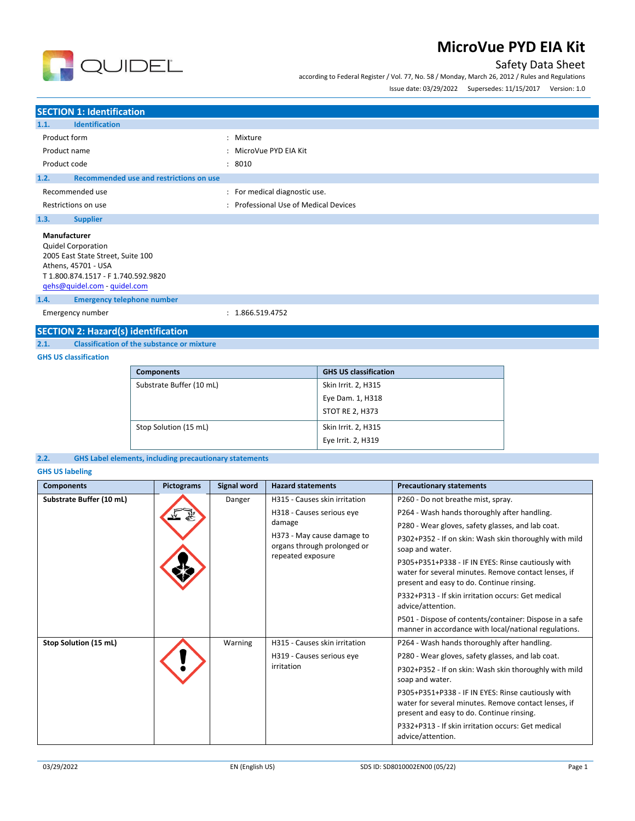

according to Federal Register / Vol. 77, No. 58 / Monday, March 26, 2012 / Rules and Regulations



Issue date: 03/29/2022 Supersedes: 11/15/2017 Version: 1.0

| <b>SECTION 1: Identification</b>                |                                       |  |  |  |
|-------------------------------------------------|---------------------------------------|--|--|--|
| <b>Identification</b><br>1.1.                   |                                       |  |  |  |
| Product form                                    | : Mixture                             |  |  |  |
| Product name                                    | : MicroVue PYD EIA Kit                |  |  |  |
| Product code                                    | : 8010                                |  |  |  |
| Recommended use and restrictions on use<br>1.2. |                                       |  |  |  |
| Recommended use                                 | : For medical diagnostic use.         |  |  |  |
| Restrictions on use                             | : Professional Use of Medical Devices |  |  |  |
| 1.3.<br><b>Supplier</b>                         |                                       |  |  |  |
| Manufacturer                                    |                                       |  |  |  |
| <b>Quidel Corporation</b>                       |                                       |  |  |  |
| 2005 East State Street, Suite 100               |                                       |  |  |  |
| Athens, 45701 - USA                             |                                       |  |  |  |
| T 1.800.874.1517 - F 1.740.592.9820             |                                       |  |  |  |
| qehs@quidel.com - quidel.com                    |                                       |  |  |  |
| <b>Emergency telephone number</b><br>1.4.       |                                       |  |  |  |

Emergency number : 1.866.519.4752

# **SECTION 2: Hazard(s) identification**<br>2.1. Classification of the substance or

**2.1. Classification of the substance or mixture**

#### **GHS US classification**

| <b>Components</b>        | <b>GHS US classification</b> |
|--------------------------|------------------------------|
| Substrate Buffer (10 mL) | Skin Irrit. 2, H315          |
|                          | Eye Dam. 1, H318             |
|                          | STOT RE 2, H373              |
| Stop Solution (15 mL)    | Skin Irrit. 2, H315          |
|                          | Eye Irrit. 2, H319           |

#### **2.2. GHS Label elements, including precautionary statements**

**GHS US labeling**

| <b>Components</b>        | <b>Pictograms</b> | Signal word | <b>Hazard statements</b>                                                       | <b>Precautionary statements</b>                                                                                                                         |
|--------------------------|-------------------|-------------|--------------------------------------------------------------------------------|---------------------------------------------------------------------------------------------------------------------------------------------------------|
| Substrate Buffer (10 mL) |                   | Danger      | H315 - Causes skin irritation                                                  | P260 - Do not breathe mist, spray.                                                                                                                      |
|                          |                   |             | H318 - Causes serious eye                                                      | P264 - Wash hands thoroughly after handling.                                                                                                            |
|                          |                   |             | damage                                                                         | P280 - Wear gloves, safety glasses, and lab coat.                                                                                                       |
|                          |                   |             | H373 - May cause damage to<br>organs through prolonged or<br>repeated exposure | P302+P352 - If on skin: Wash skin thoroughly with mild<br>soap and water.                                                                               |
|                          |                   |             |                                                                                | P305+P351+P338 - IF IN EYES: Rinse cautiously with<br>water for several minutes. Remove contact lenses, if<br>present and easy to do. Continue rinsing. |
|                          |                   |             |                                                                                | P332+P313 - If skin irritation occurs: Get medical<br>advice/attention.                                                                                 |
|                          |                   |             |                                                                                | P501 - Dispose of contents/container: Dispose in a safe<br>manner in accordance with local/national regulations.                                        |
| Stop Solution (15 mL)    |                   | Warning     | H315 - Causes skin irritation                                                  | P264 - Wash hands thoroughly after handling.                                                                                                            |
|                          |                   |             | H319 - Causes serious eye<br>irritation                                        | P280 - Wear gloves, safety glasses, and lab coat.                                                                                                       |
|                          |                   |             |                                                                                | P302+P352 - If on skin: Wash skin thoroughly with mild<br>soap and water.                                                                               |
|                          |                   |             |                                                                                | P305+P351+P338 - IF IN EYES: Rinse cautiously with<br>water for several minutes. Remove contact lenses, if<br>present and easy to do. Continue rinsing. |
|                          |                   |             |                                                                                | P332+P313 - If skin irritation occurs: Get medical<br>advice/attention.                                                                                 |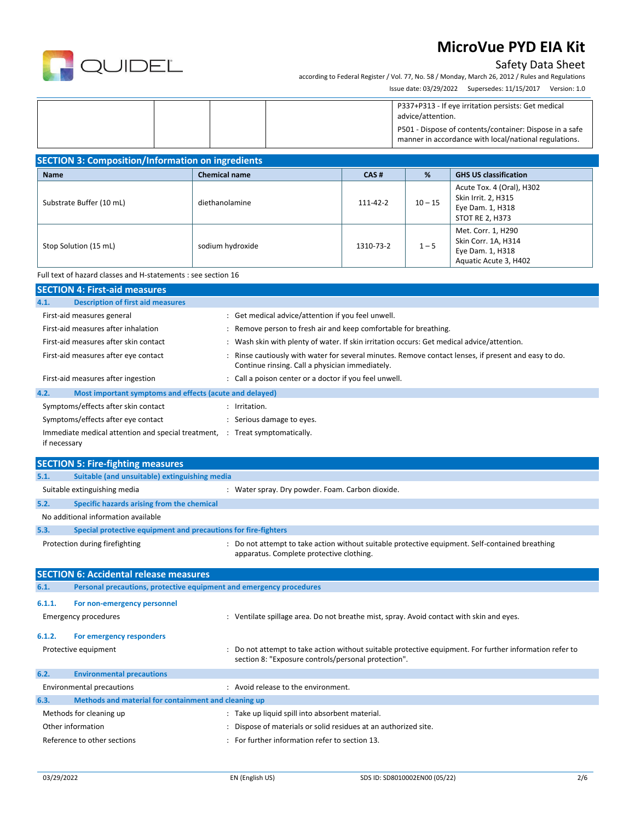

#### Safety Data Sheet

according to Federal Register / Vol. 77, No. 58 / Monday, March 26, 2012 / Rules and Regulations Issue date: 03/29/2022 Supersedes: 11/15/2017 Version: 1.0

|  | P337+P313 - If eye irritation persists: Get medical<br>advice/attention.<br>P501 - Dispose of contents/container: Dispose in a safe<br>manner in accordance with local/national regulations. |
|--|----------------------------------------------------------------------------------------------------------------------------------------------------------------------------------------------|
|--|----------------------------------------------------------------------------------------------------------------------------------------------------------------------------------------------|

| <b>SECTION 3: Composition/Information on ingredients</b> |                      |           |           |                                                                                                |  |
|----------------------------------------------------------|----------------------|-----------|-----------|------------------------------------------------------------------------------------------------|--|
| <b>Name</b>                                              | <b>Chemical name</b> | CAS#      | %         | <b>GHS US classification</b>                                                                   |  |
| Substrate Buffer (10 mL)                                 | diethanolamine       | 111-42-2  | $10 - 15$ | Acute Tox. 4 (Oral), H302<br>Skin Irrit. 2, H315<br>Eye Dam. 1, H318<br><b>STOT RE 2, H373</b> |  |
| Stop Solution (15 mL)                                    | sodium hydroxide     | 1310-73-2 | $1 - 5$   | Met. Corr. 1, H290<br>Skin Corr. 1A, H314<br>Eye Dam. 1, H318<br>Aquatic Acute 3, H402         |  |

#### Full text of hazard classes and H-statements : see section 16

| <b>SECTION 4: First-aid measures</b>                            |                                                                                                                                                       |  |  |
|-----------------------------------------------------------------|-------------------------------------------------------------------------------------------------------------------------------------------------------|--|--|
| <b>Description of first aid measures</b><br>4.1.                |                                                                                                                                                       |  |  |
| First-aid measures general                                      | : Get medical advice/attention if you feel unwell.                                                                                                    |  |  |
| First-aid measures after inhalation                             | Remove person to fresh air and keep comfortable for breathing.                                                                                        |  |  |
| First-aid measures after skin contact                           | Wash skin with plenty of water. If skin irritation occurs: Get medical advice/attention.                                                              |  |  |
| First-aid measures after eye contact                            | Rinse cautiously with water for several minutes. Remove contact lenses, if present and easy to do.<br>Continue rinsing. Call a physician immediately. |  |  |
| First-aid measures after ingestion                              | : Call a poison center or a doctor if you feel unwell.                                                                                                |  |  |
| 4.2.<br>Most important symptoms and effects (acute and delayed) |                                                                                                                                                       |  |  |
| Symptoms/effects after skin contact                             | Irritation.                                                                                                                                           |  |  |
| Symptoms/effects after eye contact                              | Serious damage to eyes.                                                                                                                               |  |  |
| Immediate medical attention and special treatment, :            | Treat symptomatically.                                                                                                                                |  |  |

|        | <b>SECTION 5: Fire-fighting measures</b>                            |                                                                                                                                                                |
|--------|---------------------------------------------------------------------|----------------------------------------------------------------------------------------------------------------------------------------------------------------|
| 5.1.   | Suitable (and unsuitable) extinguishing media                       |                                                                                                                                                                |
|        | Suitable extinguishing media                                        | : Water spray. Dry powder. Foam. Carbon dioxide.                                                                                                               |
| 5.2.   | Specific hazards arising from the chemical                          |                                                                                                                                                                |
|        | No additional information available                                 |                                                                                                                                                                |
| 5.3.   | Special protective equipment and precautions for fire-fighters      |                                                                                                                                                                |
|        | Protection during firefighting                                      | : Do not attempt to take action without suitable protective equipment. Self-contained breathing<br>apparatus. Complete protective clothing.                    |
|        | <b>SECTION 6: Accidental release measures</b>                       |                                                                                                                                                                |
|        |                                                                     |                                                                                                                                                                |
| 6.1.   | Personal precautions, protective equipment and emergency procedures |                                                                                                                                                                |
| 6.1.1. | For non-emergency personnel                                         |                                                                                                                                                                |
|        | <b>Emergency procedures</b>                                         | : Ventilate spillage area. Do not breathe mist, spray. Avoid contact with skin and eyes.                                                                       |
| 6.1.2. | For emergency responders                                            |                                                                                                                                                                |
|        | Protective equipment                                                | : Do not attempt to take action without suitable protective equipment. For further information refer to<br>section 8: "Exposure controls/personal protection". |
| 6.2.   | <b>Environmental precautions</b>                                    |                                                                                                                                                                |

| 6.3. | Methods and material for containment and cleaning up |  |                                                               |  |
|------|------------------------------------------------------|--|---------------------------------------------------------------|--|
|      | Methods for cleaning up                              |  | : Take up liquid spill into absorbent material.               |  |
|      | Other information                                    |  | Dispose of materials or solid residues at an authorized site. |  |
|      | Reference to other sections                          |  | For further information refer to section 13.                  |  |

if necessary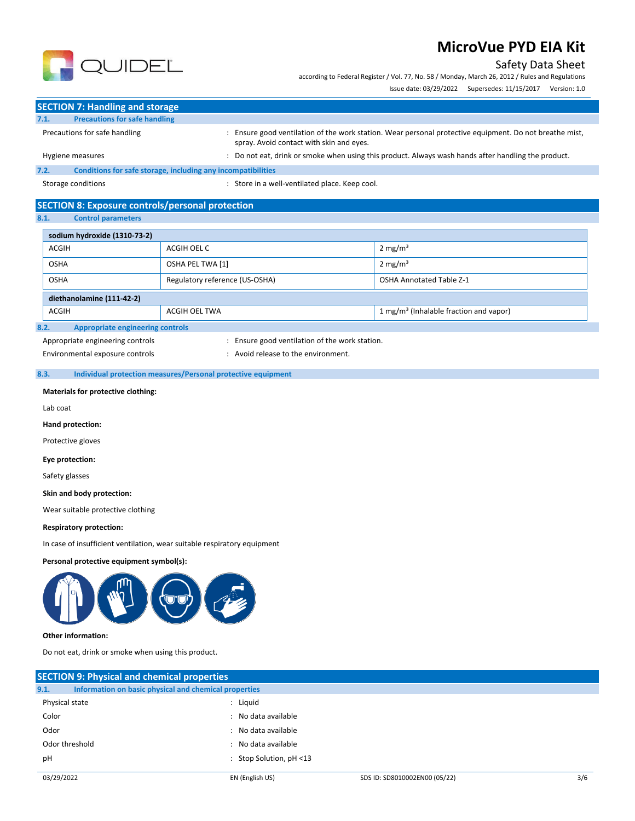### Safety Data Sheet

according to Federal Register / Vol. 77, No. 58 / Monday, March 26, 2012 / Rules and Regulations

Issue date: 03/29/2022 Supersedes: 11/15/2017 Version: 1.0



**SECTION 7: Handling and storage**

| 7.1. | <b>Precautions for safe handling</b>                         |                                                                                                                                                   |
|------|--------------------------------------------------------------|---------------------------------------------------------------------------------------------------------------------------------------------------|
|      | Precautions for safe handling                                | Ensure good ventilation of the work station. Wear personal protective equipment. Do not breathe mist,<br>spray. Avoid contact with skin and eves. |
|      | Hygiene measures                                             | : Do not eat, drink or smoke when using this product. Always wash hands after handling the product.                                               |
| 7.2. | Conditions for safe storage, including any incompatibilities |                                                                                                                                                   |

Storage conditions : Store in a well-ventilated place. Keep cool.

## **SECTION 8: Exposure controls/personal protection**

**8.1. Control parameters**

| sodium hydroxide (1310-73-2)                                                        |                  |                                 |  |  |  |
|-------------------------------------------------------------------------------------|------------------|---------------------------------|--|--|--|
| <b>ACGIH</b><br>ACGIH OEL C                                                         |                  | $2 \text{ mg/m}^3$              |  |  |  |
| <b>OSHA</b>                                                                         | OSHA PEL TWA [1] | $2 \text{ mg/m}^3$              |  |  |  |
| Regulatory reference (US-OSHA)<br><b>OSHA</b>                                       |                  | <b>OSHA Annotated Table Z-1</b> |  |  |  |
| diethanolamine (111-42-2)                                                           |                  |                                 |  |  |  |
| 1 mg/m <sup>3</sup> (Inhalable fraction and vapor)<br><b>ACGIH</b><br>ACGIH OEL TWA |                  |                                 |  |  |  |
| 8.2.<br><b>Appropriate engineering controls</b>                                     |                  |                                 |  |  |  |

Appropriate engineering controls **interpretent controls** : Ensure good ventilation of the work station.

Environmental exposure controls entitled by the environment.

#### **8.3. Individual protection measures/Personal protective equipment**

**Materials for protective clothing:**

Lab coat

**Hand protection:** 

Protective gloves

**Eye protection:**

Safety glasses

**Skin and body protection:**

Wear suitable protective clothing

#### **Respiratory protection:**

In case of insufficient ventilation, wear suitable respiratory equipment

#### **Personal protective equipment symbol(s):**



#### **Other information:**

Do not eat, drink or smoke when using this product.

| <b>SECTION 9: Physical and chemical properties</b>            |                            |                               |     |
|---------------------------------------------------------------|----------------------------|-------------------------------|-----|
| Information on basic physical and chemical properties<br>9.1. |                            |                               |     |
| Physical state                                                | : Liquid                   |                               |     |
| Color                                                         | : No data available        |                               |     |
| Odor                                                          | : No data available        |                               |     |
| Odor threshold                                                | : No data available        |                               |     |
| pH                                                            | : Stop Solution, $pH < 13$ |                               |     |
| 03/29/2022                                                    | EN (English US)            | SDS ID: SD8010002EN00 (05/22) | 3/6 |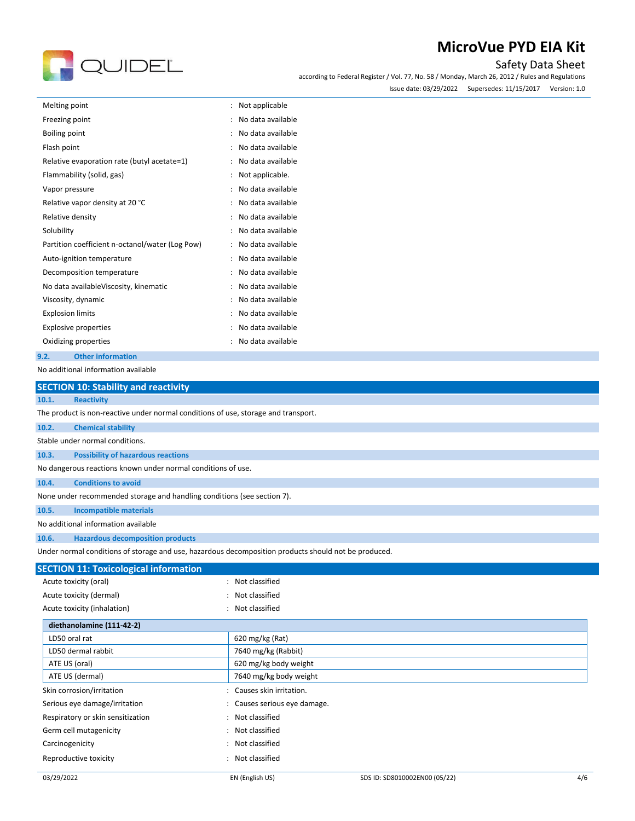# **R** QUIDEL

## **MicroVue PYD EIA Kit**

#### Safety Data Sheet

according to Federal Register / Vol. 77, No. 58 / Monday, March 26, 2012 / Rules and Regulations Issue date: 03/29/2022 Supersedes: 11/15/2017 Version: 1.0

| Melting point           |                                                 | $\ddot{\phantom{0}}$ | Not applicable    |
|-------------------------|-------------------------------------------------|----------------------|-------------------|
| Freezing point          |                                                 |                      | No data available |
| Boiling point           |                                                 |                      | No data available |
| Flash point             |                                                 |                      | No data available |
|                         | Relative evaporation rate (butyl acetate=1)     |                      | No data available |
|                         | Flammability (solid, gas)                       |                      | Not applicable.   |
| Vapor pressure          |                                                 |                      | No data available |
|                         | Relative vapor density at 20 °C                 |                      | No data available |
| Relative density        |                                                 |                      | No data available |
| Solubility              |                                                 |                      | No data available |
|                         | Partition coefficient n-octanol/water (Log Pow) |                      | No data available |
|                         | Auto-ignition temperature                       |                      | No data available |
|                         | Decomposition temperature                       |                      | No data available |
|                         | No data availableViscosity, kinematic           |                      | No data available |
|                         | Viscosity, dynamic                              |                      | No data available |
| <b>Explosion limits</b> |                                                 |                      | No data available |
|                         | <b>Explosive properties</b>                     |                      | No data available |
|                         | Oxidizing properties                            |                      | No data available |
| 9.2.                    | <b>Other information</b>                        |                      |                   |

No additional information available

|       | <b>SECTION 10: Stability and reactivity</b>                                        |                                                                                                      |  |
|-------|------------------------------------------------------------------------------------|------------------------------------------------------------------------------------------------------|--|
| 10.1. | <b>Reactivity</b>                                                                  |                                                                                                      |  |
|       | The product is non-reactive under normal conditions of use, storage and transport. |                                                                                                      |  |
| 10.2. | <b>Chemical stability</b>                                                          |                                                                                                      |  |
|       | Stable under normal conditions.                                                    |                                                                                                      |  |
| 10.3. | <b>Possibility of hazardous reactions</b>                                          |                                                                                                      |  |
|       | No dangerous reactions known under normal conditions of use.                       |                                                                                                      |  |
| 10.4. | <b>Conditions to avoid</b>                                                         |                                                                                                      |  |
|       | None under recommended storage and handling conditions (see section 7).            |                                                                                                      |  |
| 10.5. | <b>Incompatible materials</b>                                                      |                                                                                                      |  |
|       | No additional information available                                                |                                                                                                      |  |
| 10.6. | <b>Hazardous decomposition products</b>                                            |                                                                                                      |  |
|       |                                                                                    | Under normal conditions of storage and use, hazardous decomposition products should not be produced. |  |
|       | <b>SECTION 11: Toxicological information</b>                                       |                                                                                                      |  |
|       | Acute toxicity (oral)                                                              | Not classified                                                                                       |  |
|       | Acute toxicity (dermal)                                                            | Not classified                                                                                       |  |
|       | Acute toxicity (inhalation)                                                        | Not classified                                                                                       |  |
|       | diethanolamine (111-42-2)                                                          |                                                                                                      |  |
|       | LD50 oral rat                                                                      | 620 mg/kg (Rat)                                                                                      |  |
|       | LD50 dermal rabbit                                                                 | 7640 mg/kg (Rabbit)                                                                                  |  |
|       | ATE US (oral)                                                                      | 620 mg/kg body weight                                                                                |  |
|       | ATE US (dermal)                                                                    | 7640 mg/kg body weight                                                                               |  |
|       | Skin corrosion/irritation                                                          | Causes skin irritation.                                                                              |  |
|       | Serious eye damage/irritation                                                      | Causes serious eye damage.                                                                           |  |
|       | Respiratory or skin sensitization                                                  | Not classified                                                                                       |  |
|       | Germ cell mutagenicity                                                             | Not classified                                                                                       |  |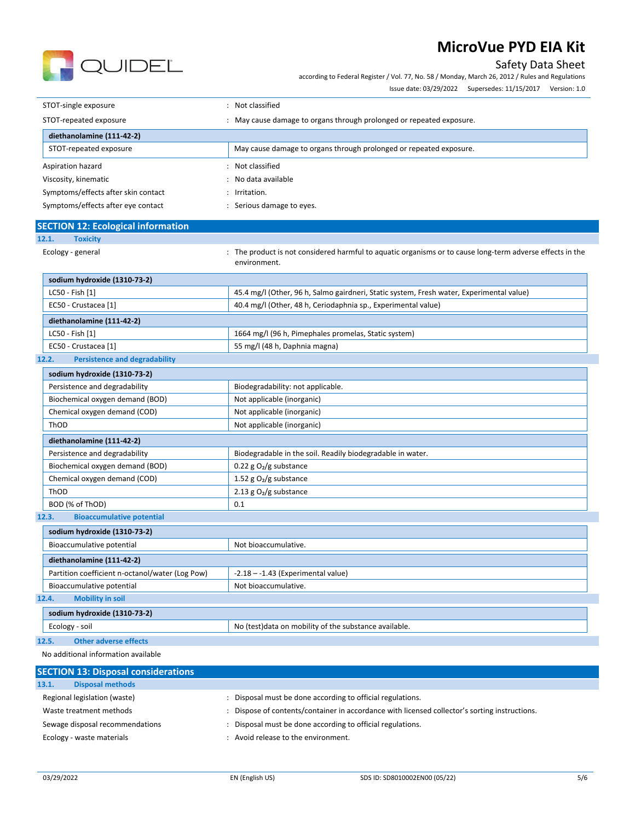Safety Data Sheet



according to Federal Register / Vol. 77, No. 58 / Monday, March 26, 2012 / Rules and Regulations

Issue date: 03/29/2022 Supersedes: 11/15/2017 Version: 1.0

| STOT-single exposure                | Not classified                                                     |  |
|-------------------------------------|--------------------------------------------------------------------|--|
| STOT-repeated exposure              | May cause damage to organs through prolonged or repeated exposure. |  |
| diethanolamine (111-42-2)           |                                                                    |  |
| STOT-repeated exposure              | May cause damage to organs through prolonged or repeated exposure. |  |
| Aspiration hazard                   | Not classified                                                     |  |
| Viscosity, kinematic                | No data available                                                  |  |
| Symptoms/effects after skin contact | Irritation.                                                        |  |
| Symptoms/effects after eye contact  | Serious damage to eyes.                                            |  |

|       | <b>SECTION 12: Ecological information</b> |                                                                                                           |  |
|-------|-------------------------------------------|-----------------------------------------------------------------------------------------------------------|--|
| 12.1. | <b>Toxicity</b>                           |                                                                                                           |  |
|       | Ecology - general                         | : The product is not considered harmful to aquatic organisms or to cause long-term adverse effects in the |  |

environment.

| sodium hydroxide (1310-73-2) |                                                                                          |
|------------------------------|------------------------------------------------------------------------------------------|
| LC50 - Fish [1]              | 45.4 mg/l (Other, 96 h, Salmo gairdneri, Static system, Fresh water, Experimental value) |
| EC50 - Crustacea [1]         | 40.4 mg/l (Other, 48 h, Ceriodaphnia sp., Experimental value)                            |
| diethanolamine (111-42-2)    |                                                                                          |
| LC50 - Fish [1]              | 1664 mg/l (96 h, Pimephales promelas, Static system)                                     |
| EC50 - Crustacea [1]         | 55 mg/l (48 h, Daphnia magna)                                                            |

#### **12.2. Persistence and degradability**

| sodium hydroxide (1310-73-2)              |                                                            |
|-------------------------------------------|------------------------------------------------------------|
| Persistence and degradability             | Biodegradability: not applicable.                          |
| Biochemical oxygen demand (BOD)           | Not applicable (inorganic)                                 |
| Chemical oxygen demand (COD)              | Not applicable (inorganic)                                 |
| ThOD                                      | Not applicable (inorganic)                                 |
| diethanolamine (111-42-2)                 |                                                            |
| Persistence and degradability             | Biodegradable in the soil. Readily biodegradable in water. |
| Biochemical oxygen demand (BOD)           | 0.22 g $O_2/g$ substance                                   |
| Chemical oxygen demand (COD)              | 1.52 g $O_2/g$ substance                                   |
| ThOD                                      | 2.13 g $O_2/g$ substance                                   |
| BOD (% of ThOD)                           | 0.1                                                        |
| 12.3.<br><b>Bioaccumulative potential</b> |                                                            |

| sodium hydroxide (1310-73-2)                    |                                                        |
|-------------------------------------------------|--------------------------------------------------------|
| Bioaccumulative potential                       | Not bioaccumulative.                                   |
| diethanolamine (111-42-2)                       |                                                        |
| Partition coefficient n-octanol/water (Log Pow) | $-2.18 - -1.43$ (Experimental value)                   |
| Bioaccumulative potential                       | Not bioaccumulative.                                   |
| <b>Mobility in soil</b><br>12.4.                |                                                        |
| sodium hydroxide (1310-73-2)                    |                                                        |
| Ecology - soil                                  | No (test) data on mobility of the substance available. |

#### **12.5. Other adverse effects**

No additional information available

| Disposal must be done according to official regulations.                                    |
|---------------------------------------------------------------------------------------------|
| Dispose of contents/container in accordance with licensed collector's sorting instructions. |
| Disposal must be done according to official regulations.                                    |
| Avoid release to the environment.                                                           |
|                                                                                             |